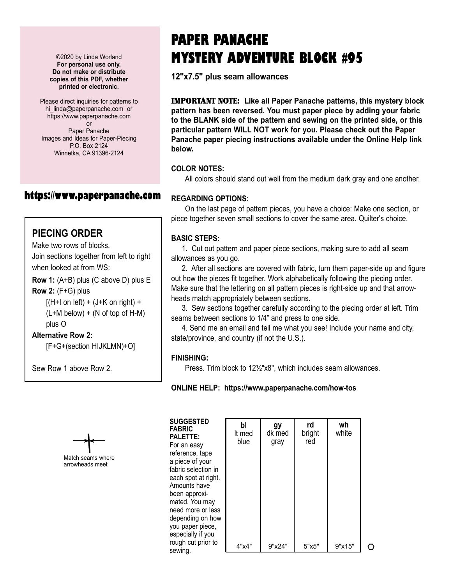©2020 by Linda Worland **For personal use only. Do not make or distribute copies of this PDF, whether printed or electronic.**

Please direct inquiries for patterns to hi linda@paperpanache.com or https://www.paperpanache.com or Paper Panache Images and Ideas for Paper-Piecing P.O. Box 2124 Winnetka, CA 91396-2124

## **https://www.paperpanache.com**

### **PIECING ORDER**

Make two rows of blocks.

Join sections together from left to right when looked at from WS:

**Row 1:** (A+B) plus (C above D) plus E **Row 2:** (F+G) plus

> $[(H+I)$  on left) +  $(J+K)$  on right) +  $(L+M$  below) + (N of top of H-M) plus O

**Alternative Row 2:**

[F+G+(section HIJKLMN)+O]

Sew Row 1 above Row 2.



# **PAPER PANACHE MYSTERY ADVENTURE BLOCK #95**

**12"x7.5" plus seam allowances**

IMPORTANT NOTE: **Like all Paper Panache patterns, this mystery block pattern has been reversed. You must paper piece by adding your fabric to the BLANK side of the pattern and sewing on the printed side, or this particular pattern WILL NOT work for you. Please check out the Paper Panache paper piecing instructions available under the Online Help link below.**

#### **COLOR NOTES:**

All colors should stand out well from the medium dark gray and one another.

#### **REGARDING OPTIONS:**

On the last page of pattern pieces, you have a choice: Make one section, or piece together seven small sections to cover the same area. Quilter's choice.

#### **BASIC STEPS:**

 1. Cut out pattern and paper piece sections, making sure to add all seam allowances as you go.

 2. After all sections are covered with fabric, turn them paper-side up and figure out how the pieces fit together. Work alphabetically following the piecing order. Make sure that the lettering on all pattern pieces is right-side up and that arrowheads match appropriately between sections.

 3. Sew sections together carefully according to the piecing order at left. Trim seams between sections to 1/4" and press to one side.

 4. Send me an email and tell me what you see! Include your name and city, state/province, and country (if not the U.S.).

#### **FINISHING:**

Press. Trim block to 12½"x8", which includes seam allowances.

**ONLINE HELP: https://www.paperpanache.com/how-tos**

| <b>SUGGESTED</b><br><b>FABRIC</b> |  |
|-----------------------------------|--|
| <b>PALETTE:</b>                   |  |
| For an easy                       |  |
| reference, tape                   |  |
| a piece of your                   |  |
| fabric selection in               |  |
| each spot at right.               |  |
| Amounts have                      |  |
| been approxi-                     |  |
| mated. You may                    |  |
| need more or less                 |  |
| depending on how                  |  |
| you paper piece,                  |  |
| especially if you                 |  |
| rough cut prior to                |  |
| sewing.                           |  |

|        | bl<br>It med<br>blue | gy<br>dk med<br>gray | rd<br>bright<br>red | wh<br>white |   |  |  |
|--------|----------------------|----------------------|---------------------|-------------|---|--|--|
| ĺ,     |                      |                      |                     |             |   |  |  |
| S<br>N |                      |                      |                     |             |   |  |  |
|        | 4"x4"                | 9"x24"               | 5"x5"               | 9"x15"      | ◡ |  |  |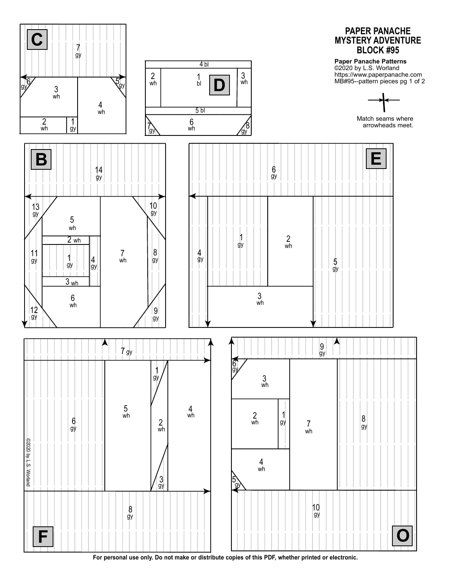

**For personal use only. Do not make or distribute copies of this PDF, whether printed or electronic.**